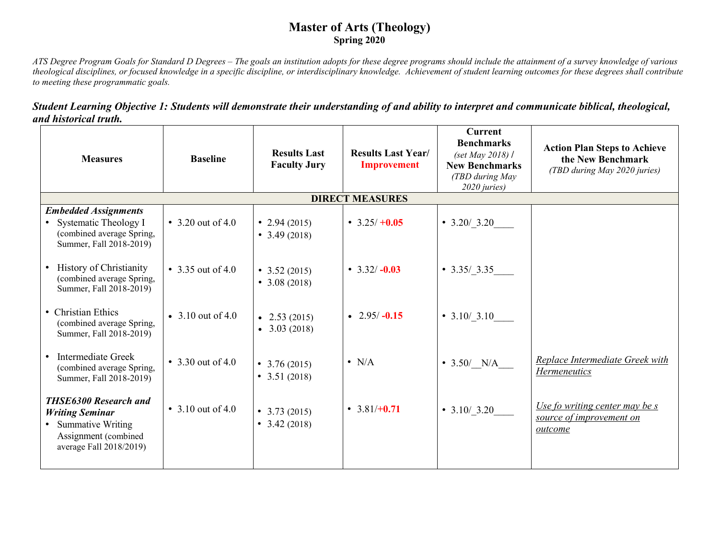## **Master of Arts (Theology) Spring 2020**

*ATS Degree Program Goals for Standard D Degrees – The goals an institution adopts for these degree programs should include the attainment of a survey knowledge of various theological disciplines, or focused knowledge in a specific discipline, or interdisciplinary knowledge. Achievement of student learning outcomes for these degrees shall contribute to meeting these programmatic goals.* 

| Student Learning Objective 1: Students will demonstrate their understanding of and ability to interpret and communicate biblical, theological, |  |  |
|------------------------------------------------------------------------------------------------------------------------------------------------|--|--|
| and historical truth.                                                                                                                          |  |  |

| <b>Measures</b>                                                                                                                   | <b>Baseline</b>   | <b>Results Last</b><br><b>Faculty Jury</b>     | <b>Results Last Year/</b><br><b>Improvement</b> | <b>Current</b><br><b>Benchmarks</b><br>(set May 2018) $\ell$<br><b>New Benchmarks</b><br>(TBD during May<br>2020 juries) | <b>Action Plan Steps to Achieve</b><br>the New Benchmark<br>(TBD during May 2020 juries) |
|-----------------------------------------------------------------------------------------------------------------------------------|-------------------|------------------------------------------------|-------------------------------------------------|--------------------------------------------------------------------------------------------------------------------------|------------------------------------------------------------------------------------------|
|                                                                                                                                   |                   |                                                | <b>DIRECT MEASURES</b>                          |                                                                                                                          |                                                                                          |
| <b>Embedded Assignments</b><br>Systematic Theology I<br>$\bullet$<br>(combined average Spring,<br>Summer, Fall 2018-2019)         | • 3.20 out of 4.0 | • 2.94 $(2015)$<br>• $3.49(2018)$              | $\cdot$ 3.25/ +0.05                             | $\bullet$ 3.20/3.20                                                                                                      |                                                                                          |
| • History of Christianity<br>(combined average Spring,<br>Summer, Fall 2018-2019)                                                 | • 3.35 out of 4.0 | $\bullet$ 3.52 (2015)<br>• $3.08(2018)$        | • $3.32/-0.03$                                  | $\bullet$ 3.35/3.35                                                                                                      |                                                                                          |
| • Christian Ethics<br>(combined average Spring,<br>Summer, Fall 2018-2019)                                                        | • 3.10 out of 4.0 | $\bullet$ 2.53 (2015)<br>$\bullet$ 3.03 (2018) | $\cdot$ 2.95/-0.15                              | • $3.10/ 3.10$                                                                                                           |                                                                                          |
| Intermediate Greek<br>$\bullet$<br>(combined average Spring,<br>Summer, Fall 2018-2019)                                           | • 3.30 out of 4.0 | • $3.76(2015)$<br>• $3.51(2018)$               | $\bullet$ N/A                                   | • $3.50/ N/A$                                                                                                            | Replace Intermediate Greek with<br>Hermeneutics                                          |
| <b>THSE6300 Research and</b><br><b>Writing Seminar</b><br>• Summative Writing<br>Assignment (combined)<br>average Fall 2018/2019) | • 3.10 out of 4.0 | $\bullet$ 3.73 (2015)<br>$\bullet$ 3.42 (2018) | • $3.81/+0.71$                                  | • $3.10/ 3.20$                                                                                                           | Use fo writing center may be s<br>source of improvement on<br>outcome                    |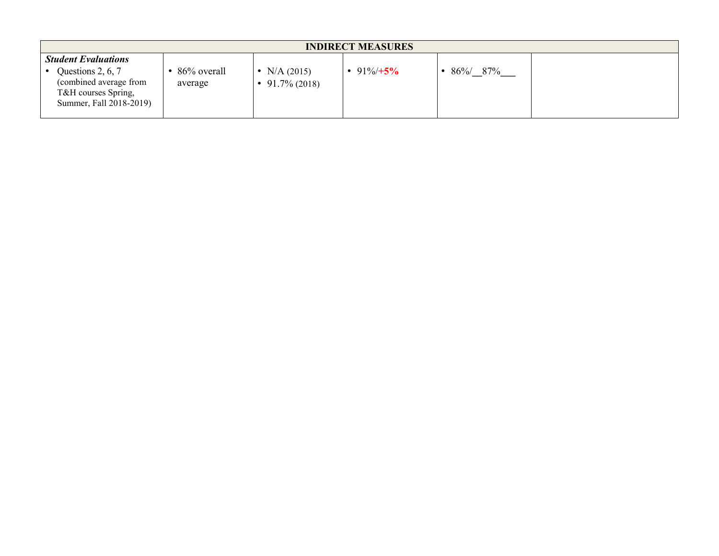| <b>INDIRECT MEASURES</b>                                                                      |                        |                               |              |         |  |  |
|-----------------------------------------------------------------------------------------------|------------------------|-------------------------------|--------------|---------|--|--|
| <b>Student Evaluations</b>                                                                    |                        |                               |              |         |  |  |
| Questions 2, 6, 7<br>(combined average from<br>T&H courses Spring,<br>Summer, Fall 2018-2019) | 86% overall<br>average | N/A (2015)<br>$91.7\%$ (2018) | • 91%/ $+5%$ | 86%/87% |  |  |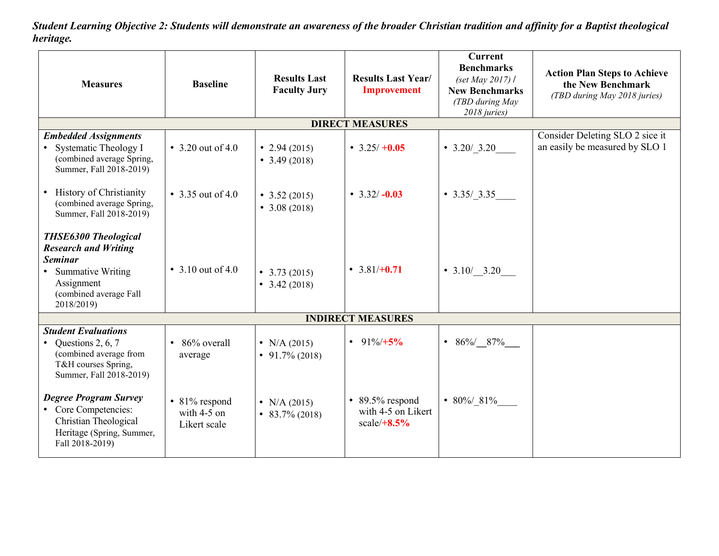*Student Learning Objective 2: Students will demonstrate an awareness of the broader Christian tradition and affinity for a Baptist theological heritage.*

| <b>Measures</b>                                                                                                                                           | <b>Baseline</b>                                      | <b>Results Last</b><br><b>Faculty Jury</b> | <b>Results Last Year/</b><br><b>Improvement</b>                | <b>Current</b><br><b>Benchmarks</b><br>(set May 2017) /<br><b>New Benchmarks</b><br>(TBD during May<br>2018 juries) | <b>Action Plan Steps to Achieve</b><br>the New Benchmark<br>(TBD during May 2018 juries) |  |  |
|-----------------------------------------------------------------------------------------------------------------------------------------------------------|------------------------------------------------------|--------------------------------------------|----------------------------------------------------------------|---------------------------------------------------------------------------------------------------------------------|------------------------------------------------------------------------------------------|--|--|
|                                                                                                                                                           |                                                      |                                            | <b>DIRECT MEASURES</b>                                         |                                                                                                                     |                                                                                          |  |  |
| <b>Embedded Assignments</b><br>• Systematic Theology I<br>(combined average Spring,<br>Summer, Fall 2018-2019)                                            | • 3.20 out of 4.0                                    | • 2.94 $(2015)$<br>• $3.49(2018)$          | • $3.25/ +0.05$                                                | $\cdot$ 3.20/_3.20                                                                                                  | Consider Deleting SLO 2 sice it<br>an easily be measured by SLO 1                        |  |  |
| • History of Christianity<br>(combined average Spring,<br>Summer, Fall 2018-2019)                                                                         | • 3.35 out of 4.0                                    | $\bullet$ 3.52 (2015)<br>• $3.08(2018)$    | • $3.32/-0.03$                                                 | $\bullet$ 3.35/3.35                                                                                                 |                                                                                          |  |  |
| <b>THSE6300 Theological</b><br><b>Research and Writing</b><br><b>Seminar</b><br>• Summative Writing<br>Assignment<br>(combined average Fall<br>2018/2019) | • 3.10 out of 4.0                                    | $\bullet$ 3.73 (2015)<br>• $3.42(2018)$    | • $3.81/+0.71$                                                 | • $3.10/$ 3.20                                                                                                      |                                                                                          |  |  |
|                                                                                                                                                           | <b>INDIRECT MEASURES</b>                             |                                            |                                                                |                                                                                                                     |                                                                                          |  |  |
| <b>Student Evaluations</b><br>• Questions 2, 6, 7<br>(combined average from<br>T&H courses Spring,<br>Summer, Fall 2018-2019)                             | 86% overall<br>average                               | • N/A $(2015)$<br>$\bullet$ 91.7% (2018)   | • $91\%/+5\%$                                                  | • $86\%$ 87%                                                                                                        |                                                                                          |  |  |
| <b>Degree Program Survey</b><br>• Core Competencies:<br>Christian Theological<br>Heritage (Spring, Summer,<br>Fall 2018-2019)                             | $\cdot$ 81% respond<br>with $4-5$ on<br>Likert scale | • N/A $(2015)$<br>$\bullet$ 83.7% (2018)   | $\cdot$ 89.5% respond<br>with 4-5 on Likert<br>$scale/ +8.5\%$ | • 80%/81%                                                                                                           |                                                                                          |  |  |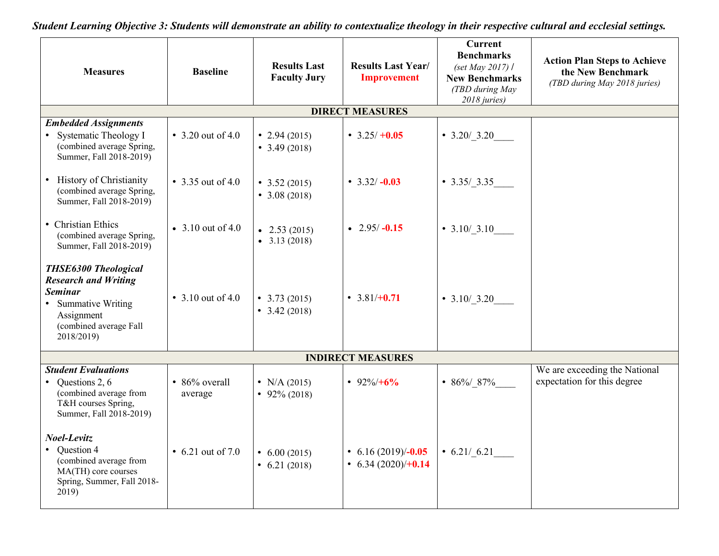*Student Learning Objective 3: Students will demonstrate an ability to contextualize theology in their respective cultural and ecclesial settings.*

| <b>Measures</b>                                                                                                                                           | <b>Baseline</b>          | <b>Results Last</b><br><b>Faculty Jury</b>     | <b>Results Last Year/</b><br><b>Improvement</b>    | <b>Current</b><br><b>Benchmarks</b><br>(set May 2017) /<br><b>New Benchmarks</b><br>(TBD during May<br>2018 juries) | <b>Action Plan Steps to Achieve</b><br>the New Benchmark<br>(TBD during May 2018 juries) |
|-----------------------------------------------------------------------------------------------------------------------------------------------------------|--------------------------|------------------------------------------------|----------------------------------------------------|---------------------------------------------------------------------------------------------------------------------|------------------------------------------------------------------------------------------|
|                                                                                                                                                           |                          |                                                | <b>DIRECT MEASURES</b>                             |                                                                                                                     |                                                                                          |
| <b>Embedded Assignments</b><br>• Systematic Theology I<br>(combined average Spring,<br>Summer, Fall 2018-2019)                                            | • 3.20 out of 4.0        | • 2.94 $(2015)$<br>• $3.49(2018)$              | • $3.25/ +0.05$                                    | $\bullet$ 3.20/3.20                                                                                                 |                                                                                          |
| • History of Christianity<br>(combined average Spring,<br>Summer, Fall 2018-2019)                                                                         | • 3.35 out of 4.0        | $\bullet$ 3.52 (2015)<br>• $3.08(2018)$        | • $3.32/-0.03$                                     | $\bullet$ 3.35/3.35                                                                                                 |                                                                                          |
| • Christian Ethics<br>(combined average Spring,<br>Summer, Fall 2018-2019)                                                                                | • 3.10 out of 4.0        | $\bullet$ 2.53 (2015)<br>$\bullet$ 3.13 (2018) | $\cdot$ 2.95/-0.15                                 | • $3.10/ 3.10$                                                                                                      |                                                                                          |
| <b>THSE6300 Theological</b><br><b>Research and Writing</b><br><b>Seminar</b><br>• Summative Writing<br>Assignment<br>(combined average Fall<br>2018/2019) | • 3.10 out of 4.0        | • $3.73(2015)$<br>• $3.42(2018)$               | • $3.81/+0.71$                                     | • $3.10/ 3.20$                                                                                                      |                                                                                          |
|                                                                                                                                                           |                          |                                                | <b>INDIRECT MEASURES</b>                           |                                                                                                                     |                                                                                          |
| <b>Student Evaluations</b><br>• Questions 2, $6$<br>(combined average from<br>T&H courses Spring,<br>Summer, Fall 2018-2019)                              | • 86% overall<br>average | • N/A $(2015)$<br>• 92% (2018)                 | • $92\%/+6\%$                                      | • 86%/87%                                                                                                           | We are exceeding the National<br>expectation for this degree                             |
| Noel-Levitz<br>• Question 4<br>(combined average from<br>MA(TH) core courses<br>Spring, Summer, Fall 2018-<br>2019)                                       | • 6.21 out of 7.0        | $\bullet$ 6.00 (2015)<br>$\bullet$ 6.21 (2018) | • 6.16 $(2019)/-0.05$<br>$\cdot$ 6.34 (2020)/+0.14 | $\bullet$ 6.21/6.21                                                                                                 |                                                                                          |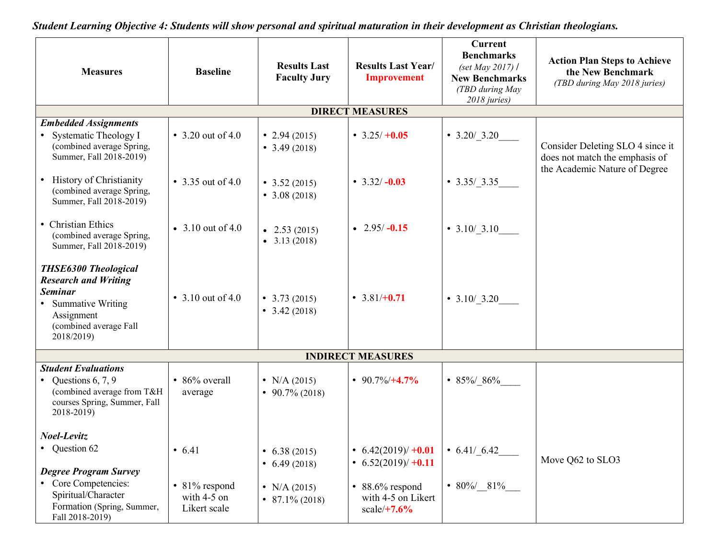| <b>Measures</b>                                                                                                                                           | <b>Baseline</b>                                | <b>Results Last</b><br><b>Faculty Jury</b>                                         | <b>Results Last Year/</b><br><b>Improvement</b>                                                 | <b>Current</b><br><b>Benchmarks</b><br>(set May 2017) /<br><b>New Benchmarks</b><br>(TBD during May<br>2018 juries) | <b>Action Plan Steps to Achieve</b><br>the New Benchmark<br>(TBD during May 2018 juries) |  |
|-----------------------------------------------------------------------------------------------------------------------------------------------------------|------------------------------------------------|------------------------------------------------------------------------------------|-------------------------------------------------------------------------------------------------|---------------------------------------------------------------------------------------------------------------------|------------------------------------------------------------------------------------------|--|
|                                                                                                                                                           |                                                |                                                                                    | <b>DIRECT MEASURES</b>                                                                          |                                                                                                                     |                                                                                          |  |
| <b>Embedded Assignments</b><br>• Systematic Theology I<br>(combined average Spring,<br>Summer, Fall 2018-2019)                                            | • 3.20 out of 4.0                              | • 2.94 $(2015)$<br>• $3.49(2018)$                                                  | • $3.25/ +0.05$                                                                                 | $\bullet$ 3.20/3.20                                                                                                 | Consider Deleting SLO 4 since it<br>does not match the emphasis of                       |  |
| • History of Christianity<br>(combined average Spring,<br>Summer, Fall 2018-2019)                                                                         | • 3.35 out of 4.0                              | $\bullet$ 3.52 (2015)<br>• $3.08(2018)$                                            | • $3.32/-0.03$                                                                                  | $\bullet$ 3.35/3.35                                                                                                 | the Academic Nature of Degree                                                            |  |
| • Christian Ethics<br>(combined average Spring,<br>Summer, Fall 2018-2019)                                                                                | • 3.10 out of 4.0                              | $\bullet$ 2.53 (2015)<br>$\bullet$ 3.13 (2018)                                     | • $2.95/-0.15$                                                                                  | • $3.10/ 3.10$                                                                                                      |                                                                                          |  |
| <b>THSE6300 Theological</b><br><b>Research and Writing</b><br><b>Seminar</b><br>• Summative Writing<br>Assignment<br>(combined average Fall<br>2018/2019) | • 3.10 out of 4.0                              | $\bullet$ 3.73 (2015)<br>• $3.42(2018)$                                            | • $3.81/+0.71$                                                                                  | • $3.10/ 3.20$                                                                                                      |                                                                                          |  |
| <b>INDIRECT MEASURES</b>                                                                                                                                  |                                                |                                                                                    |                                                                                                 |                                                                                                                     |                                                                                          |  |
| <b>Student Evaluations</b><br>• Questions $6, 7, 9$<br>(combined average from T&H<br>courses Spring, Summer, Fall<br>2018-2019)                           | $\cdot$ 86% overall<br>average                 | • N/A $(2015)$<br>$\bullet$ 90.7% (2018)                                           | • $90.7\%/+4.7\%$                                                                               | • 85%/_86%                                                                                                          |                                                                                          |  |
| Noel-Levitz<br>• Question 62<br><b>Degree Program Survey</b><br>• Core Competencies:<br>Spiritual/Character                                               | • 6.41<br>$\bullet$ 81% respond<br>with 4-5 on | $\bullet$ 6.38 (2015)<br>$\bullet$ 6.49 (2018)<br>• N/A $(2015)$<br>• 87.1% (2018) | • $6.42(2019) / +0.01$<br>• $6.52(2019) / +0.11$<br>$\cdot$ 88.6% respond<br>with 4-5 on Likert | $\bullet$ 6.41/6.42<br>• 80%/ 81%                                                                                   | Move Q62 to SLO3                                                                         |  |
| Formation (Spring, Summer,<br>Fall 2018-2019)                                                                                                             | Likert scale                                   |                                                                                    | $scale/+7.6%$                                                                                   |                                                                                                                     |                                                                                          |  |

*Student Learning Objective 4: Students will show personal and spiritual maturation in their development as Christian theologians.*